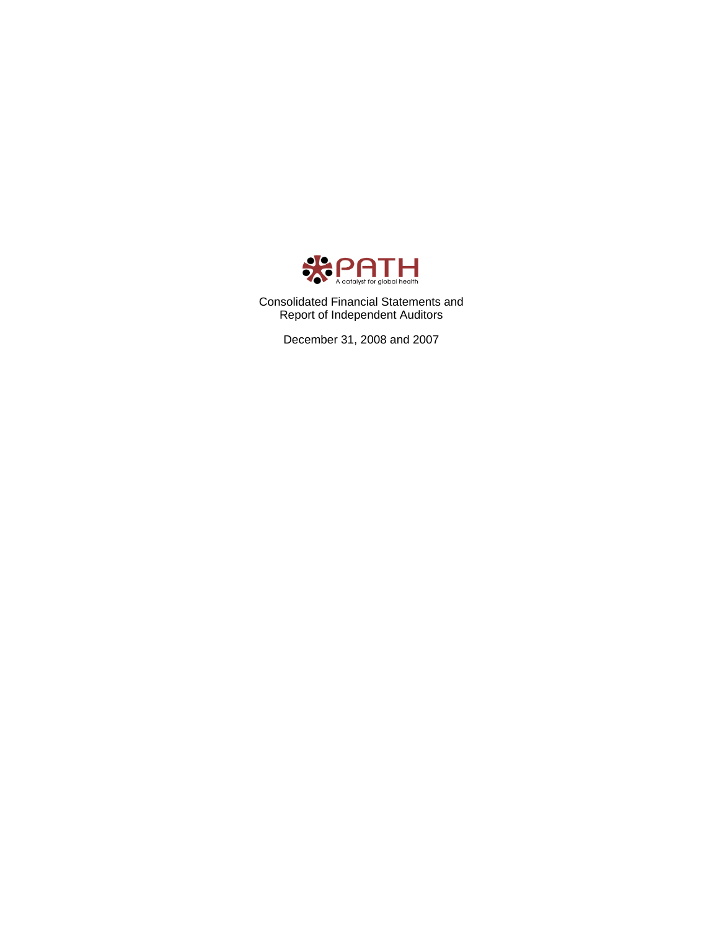

Consolidated Financial Statements and Report of Independent Auditors

December 31, 2008 and 2007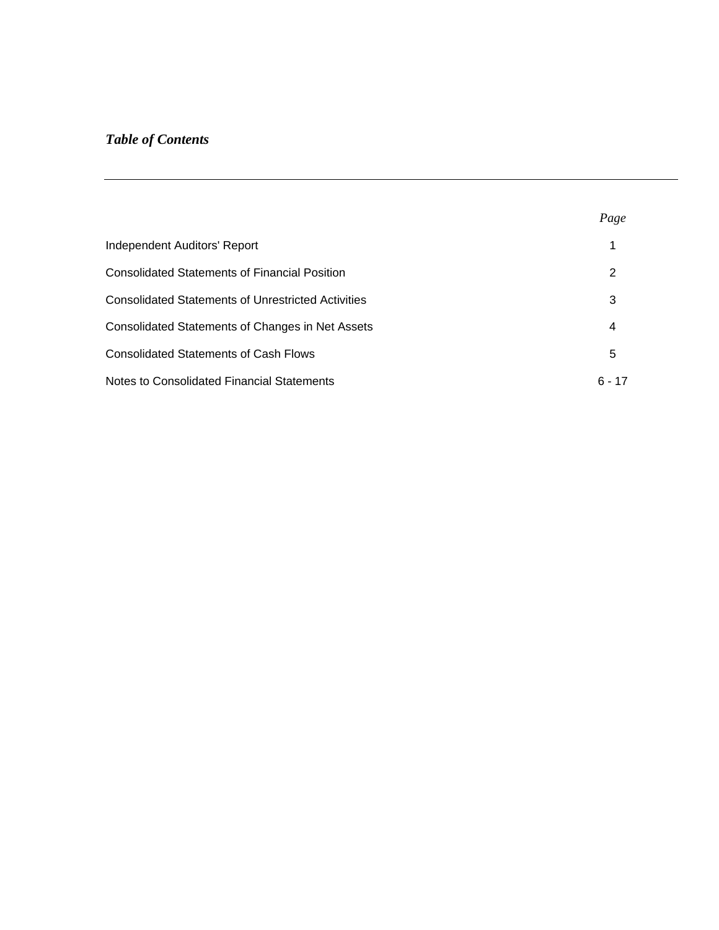# *Table of Contents*

|                                                           | Page     |
|-----------------------------------------------------------|----------|
| Independent Auditors' Report                              |          |
| <b>Consolidated Statements of Financial Position</b>      | 2        |
| <b>Consolidated Statements of Unrestricted Activities</b> | 3        |
| Consolidated Statements of Changes in Net Assets          | 4        |
| <b>Consolidated Statements of Cash Flows</b>              | 5        |
| Notes to Consolidated Financial Statements                | $6 - 17$ |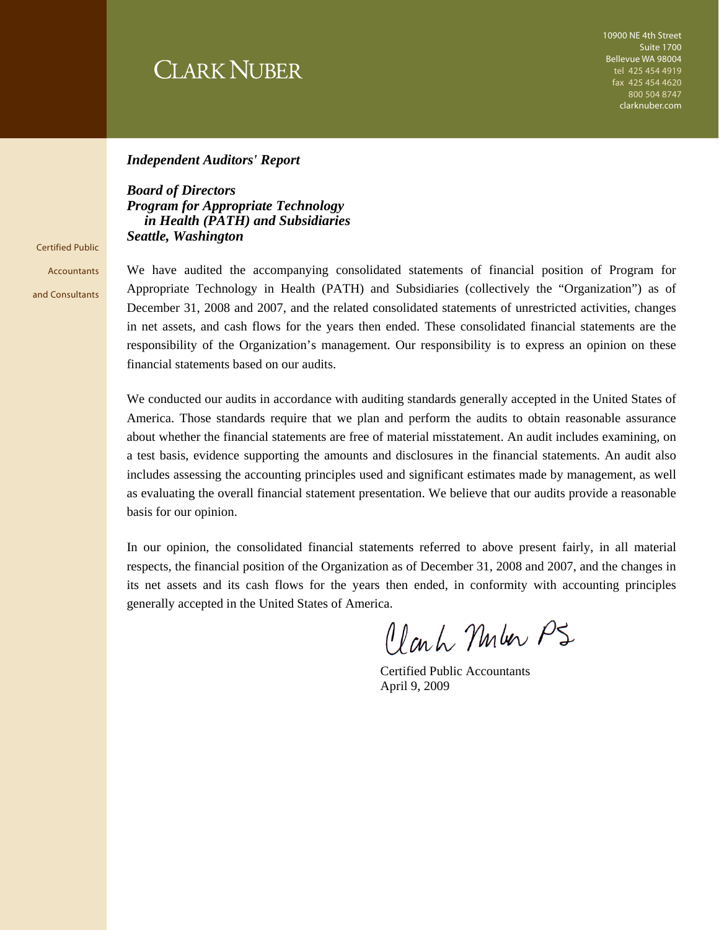# **CLARK NUBER**

10900 NE 4th Street Suite 1700 Bellevue WA 98004 tel 425 454 4919 fax 425 454 4620 800 504 8747 clarknuber.com

#### *Independent Auditors' Report*

*Board of Directors Program for Appropriate Technology in Health (PATH) and Subsidiaries Seattle, Washington* 

Certified Public **Accountants** and Consultants

We have audited the accompanying consolidated statements of financial position of Program for Appropriate Technology in Health (PATH) and Subsidiaries (collectively the "Organization") as of December 31, 2008 and 2007, and the related consolidated statements of unrestricted activities, changes in net assets, and cash flows for the years then ended. These consolidated financial statements are the responsibility of the Organization's management. Our responsibility is to express an opinion on these financial statements based on our audits.

We conducted our audits in accordance with auditing standards generally accepted in the United States of America. Those standards require that we plan and perform the audits to obtain reasonable assurance about whether the financial statements are free of material misstatement. An audit includes examining, on a test basis, evidence supporting the amounts and disclosures in the financial statements. An audit also includes assessing the accounting principles used and significant estimates made by management, as well as evaluating the overall financial statement presentation. We believe that our audits provide a reasonable basis for our opinion.

In our opinion, the consolidated financial statements referred to above present fairly, in all material respects, the financial position of the Organization as of December 31, 2008 and 2007, and the changes in its net assets and its cash flows for the years then ended, in conformity with accounting principles generally accepted in the United States of America.

Clark Muler PS

 Certified Public Accountants April 9, 2009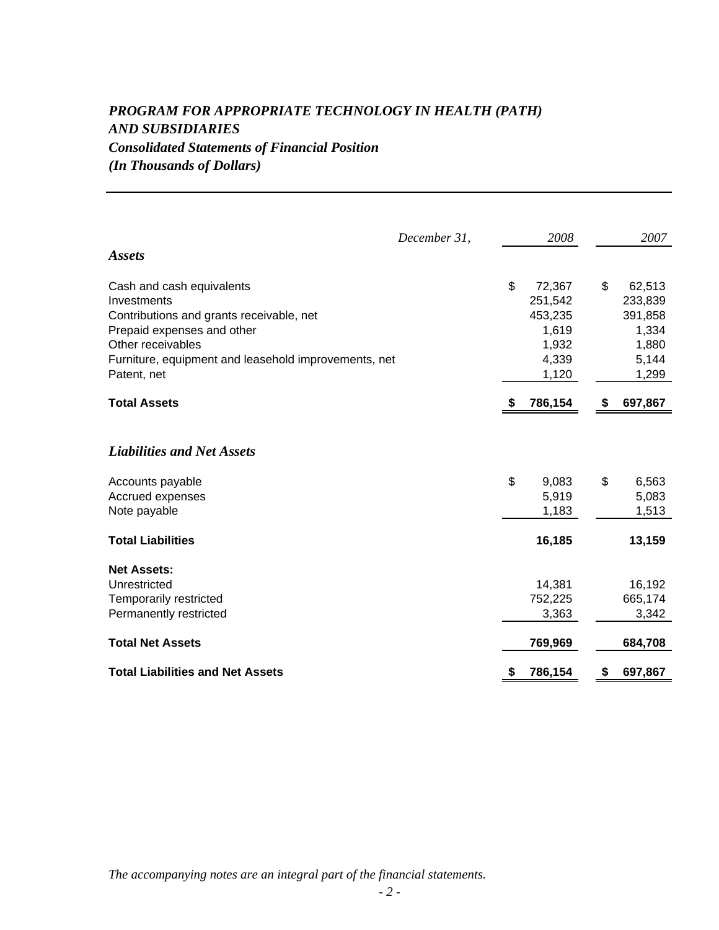### *PROGRAM FOR APPROPRIATE TECHNOLOGY IN HEALTH (PATH) AND SUBSIDIARIES Consolidated Statements of Financial Position (In Thousands of Dollars)*

|                                                      | December 31, |    | 2008    |    | 2007    |
|------------------------------------------------------|--------------|----|---------|----|---------|
| <b>Assets</b>                                        |              |    |         |    |         |
| Cash and cash equivalents                            |              | \$ | 72,367  | \$ | 62,513  |
| Investments                                          |              |    | 251,542 |    | 233,839 |
| Contributions and grants receivable, net             |              |    | 453,235 |    | 391,858 |
| Prepaid expenses and other                           |              |    | 1,619   |    | 1,334   |
| Other receivables                                    |              |    | 1,932   |    | 1,880   |
| Furniture, equipment and leasehold improvements, net |              |    | 4,339   |    | 5,144   |
| Patent, net                                          |              |    | 1,120   |    | 1,299   |
| <b>Total Assets</b>                                  |              | S. | 786,154 | S  | 697,867 |
|                                                      |              |    |         |    |         |
| <b>Liabilities and Net Assets</b>                    |              |    |         |    |         |
| Accounts payable                                     |              | \$ | 9,083   | \$ | 6,563   |
| Accrued expenses                                     |              |    | 5,919   |    | 5,083   |
| Note payable                                         |              |    | 1,183   |    | 1,513   |
| <b>Total Liabilities</b>                             |              |    | 16,185  |    | 13,159  |
| <b>Net Assets:</b>                                   |              |    |         |    |         |
| Unrestricted                                         |              |    | 14,381  |    | 16,192  |
| Temporarily restricted                               |              |    | 752,225 |    | 665,174 |
| Permanently restricted                               |              |    | 3,363   |    | 3,342   |
| <b>Total Net Assets</b>                              |              |    | 769,969 |    | 684,708 |
| <b>Total Liabilities and Net Assets</b>              |              | \$ | 786,154 | \$ | 697,867 |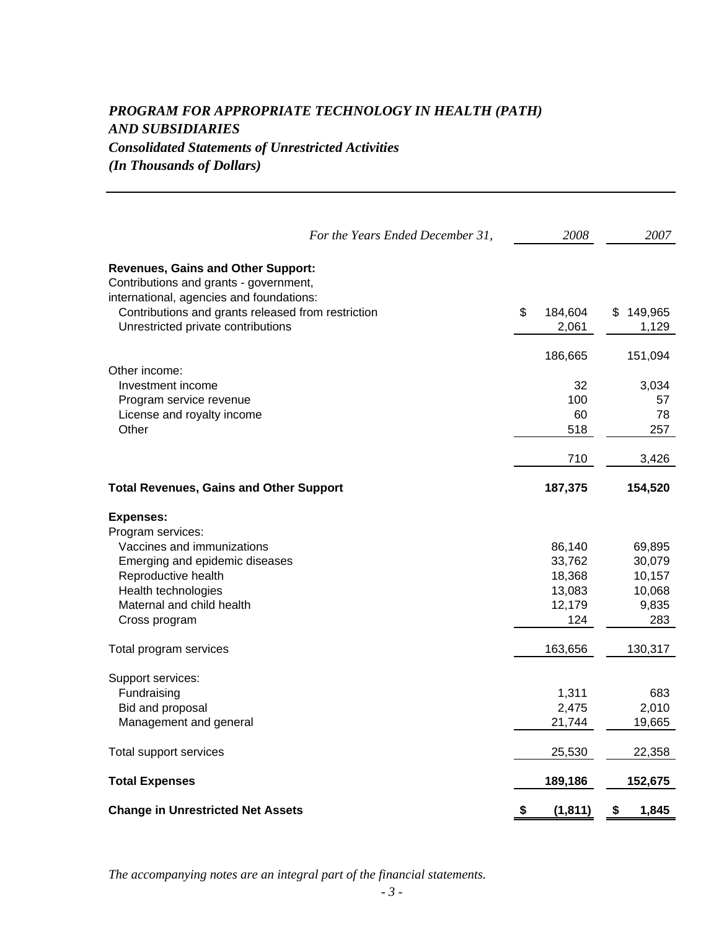### *PROGRAM FOR APPROPRIATE TECHNOLOGY IN HEALTH (PATH) AND SUBSIDIARIES Consolidated Statements of Unrestricted Activities (In Thousands of Dollars)*

|                                                                                                                                 | For the Years Ended December 31, | 2008           | 2007        |
|---------------------------------------------------------------------------------------------------------------------------------|----------------------------------|----------------|-------------|
| <b>Revenues, Gains and Other Support:</b><br>Contributions and grants - government,<br>international, agencies and foundations: |                                  |                |             |
| Contributions and grants released from restriction                                                                              |                                  | \$<br>184,604  | \$149,965   |
| Unrestricted private contributions                                                                                              |                                  | 2,061          | 1,129       |
|                                                                                                                                 |                                  |                |             |
|                                                                                                                                 |                                  | 186,665        | 151,094     |
| Other income:                                                                                                                   |                                  |                |             |
| Investment income                                                                                                               |                                  | 32             | 3,034       |
| Program service revenue                                                                                                         |                                  | 100            | 57          |
| License and royalty income                                                                                                      |                                  | 60             | 78          |
| Other                                                                                                                           |                                  | 518            | 257         |
|                                                                                                                                 |                                  |                |             |
|                                                                                                                                 |                                  | 710            | 3,426       |
|                                                                                                                                 |                                  |                |             |
| <b>Total Revenues, Gains and Other Support</b>                                                                                  |                                  | 187,375        | 154,520     |
| <b>Expenses:</b>                                                                                                                |                                  |                |             |
| Program services:                                                                                                               |                                  |                |             |
| Vaccines and immunizations                                                                                                      |                                  | 86,140         | 69,895      |
| Emerging and epidemic diseases                                                                                                  |                                  | 33,762         | 30,079      |
| Reproductive health                                                                                                             |                                  | 18,368         | 10,157      |
| Health technologies                                                                                                             |                                  | 13,083         | 10,068      |
| Maternal and child health                                                                                                       |                                  | 12,179         | 9,835       |
| Cross program                                                                                                                   |                                  | 124            | 283         |
| Total program services                                                                                                          |                                  | 163,656        | 130,317     |
|                                                                                                                                 |                                  |                |             |
| Support services:                                                                                                               |                                  |                |             |
| Fundraising                                                                                                                     |                                  | 1,311          | 683         |
| Bid and proposal                                                                                                                |                                  | 2,475          | 2,010       |
| Management and general                                                                                                          |                                  | 21,744         | 19,665      |
|                                                                                                                                 |                                  |                |             |
| Total support services                                                                                                          |                                  | 25,530         | 22,358      |
| <b>Total Expenses</b>                                                                                                           |                                  | 189,186        | 152,675     |
|                                                                                                                                 |                                  |                |             |
| <b>Change in Unrestricted Net Assets</b>                                                                                        |                                  | (1, 811)<br>\$ | 1,845<br>\$ |

*The accompanying notes are an integral part of the financial statements.*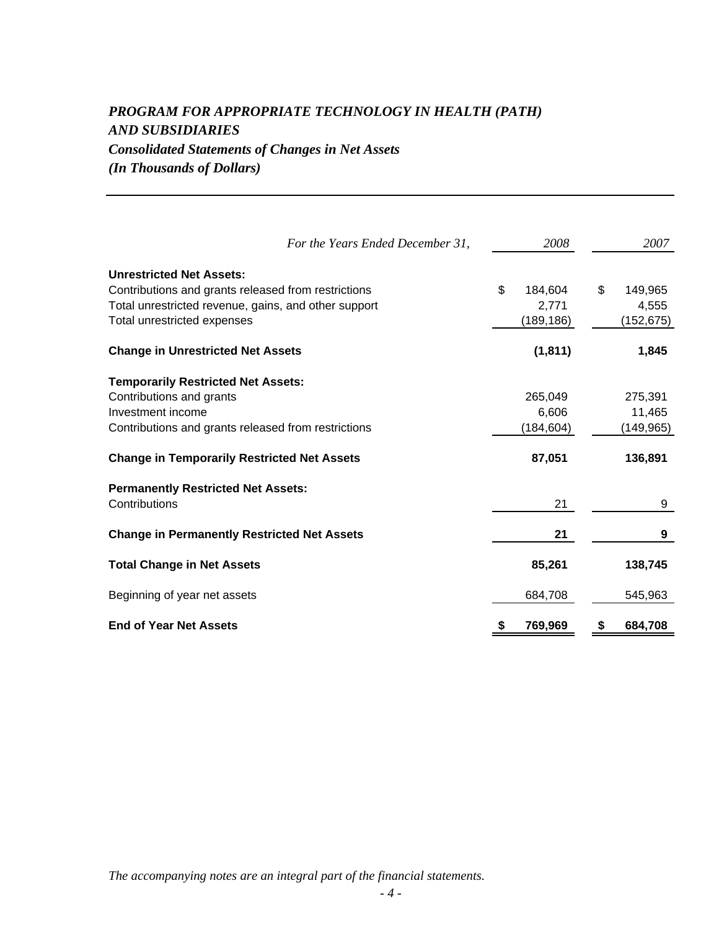## *PROGRAM FOR APPROPRIATE TECHNOLOGY IN HEALTH (PATH) AND SUBSIDIARIES Consolidated Statements of Changes in Net Assets*

*(In Thousands of Dollars)*

| For the Years Ended December 31,                                                                                                                                              | 2008                                 |    | 2007                           |
|-------------------------------------------------------------------------------------------------------------------------------------------------------------------------------|--------------------------------------|----|--------------------------------|
| <b>Unrestricted Net Assets:</b><br>Contributions and grants released from restrictions<br>Total unrestricted revenue, gains, and other support<br>Total unrestricted expenses | \$<br>184,604<br>2,771<br>(189, 186) | \$ | 149,965<br>4,555<br>(152, 675) |
| <b>Change in Unrestricted Net Assets</b>                                                                                                                                      | (1, 811)                             |    | 1,845                          |
| <b>Temporarily Restricted Net Assets:</b><br>Contributions and grants<br>Investment income<br>Contributions and grants released from restrictions                             | 265,049<br>6,606<br>(184, 604)       |    | 275,391<br>11,465<br>(149,965) |
| <b>Change in Temporarily Restricted Net Assets</b>                                                                                                                            | 87,051                               |    | 136,891                        |
| <b>Permanently Restricted Net Assets:</b><br>Contributions                                                                                                                    | 21                                   |    | 9                              |
| <b>Change in Permanently Restricted Net Assets</b>                                                                                                                            | 21                                   |    | 9                              |
| <b>Total Change in Net Assets</b>                                                                                                                                             | 85,261                               |    | 138,745                        |
| Beginning of year net assets                                                                                                                                                  | 684,708                              |    | 545,963                        |
| <b>End of Year Net Assets</b>                                                                                                                                                 | 769,969                              | S  | 684,708                        |

*The accompanying notes are an integral part of the financial statements.*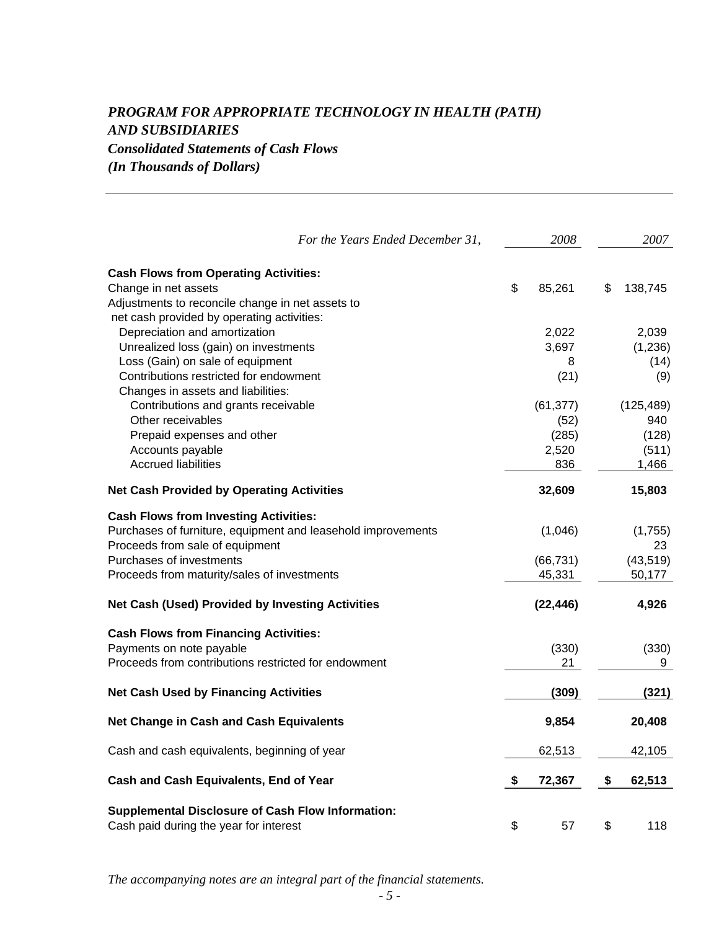### *PROGRAM FOR APPROPRIATE TECHNOLOGY IN HEALTH (PATH) AND SUBSIDIARIES Consolidated Statements of Cash Flows (In Thousands of Dollars)*

| For the Years Ended December 31,                                                                                                                                                                                                         | 2008                                       | 2007                                         |
|------------------------------------------------------------------------------------------------------------------------------------------------------------------------------------------------------------------------------------------|--------------------------------------------|----------------------------------------------|
| <b>Cash Flows from Operating Activities:</b><br>Change in net assets<br>Adjustments to reconcile change in net assets to                                                                                                                 | \$<br>85,261                               | \$<br>138,745                                |
| net cash provided by operating activities:<br>Depreciation and amortization<br>Unrealized loss (gain) on investments<br>Loss (Gain) on sale of equipment<br>Contributions restricted for endowment<br>Changes in assets and liabilities: | 2,022<br>3,697<br>8<br>(21)                | 2,039<br>(1, 236)<br>(14)<br>(9)             |
| Contributions and grants receivable<br>Other receivables<br>Prepaid expenses and other<br>Accounts payable<br><b>Accrued liabilities</b>                                                                                                 | (61, 377)<br>(52)<br>(285)<br>2,520<br>836 | (125, 489)<br>940<br>(128)<br>(511)<br>1,466 |
| <b>Net Cash Provided by Operating Activities</b>                                                                                                                                                                                         | 32,609                                     | 15,803                                       |
| <b>Cash Flows from Investing Activities:</b><br>Purchases of furniture, equipment and leasehold improvements<br>Proceeds from sale of equipment<br>Purchases of investments<br>Proceeds from maturity/sales of investments               | (1,046)<br>(66, 731)<br>45,331             | (1,755)<br>23<br>(43, 519)<br>50,177         |
| <b>Net Cash (Used) Provided by Investing Activities</b>                                                                                                                                                                                  | (22, 446)                                  | 4,926                                        |
| <b>Cash Flows from Financing Activities:</b><br>Payments on note payable<br>Proceeds from contributions restricted for endowment                                                                                                         | (330)<br>21                                | (330)<br>9                                   |
| <b>Net Cash Used by Financing Activities</b>                                                                                                                                                                                             | (309)                                      | (321)                                        |
| <b>Net Change in Cash and Cash Equivalents</b>                                                                                                                                                                                           | 9,854                                      | 20,408                                       |
| Cash and cash equivalents, beginning of year                                                                                                                                                                                             | 62,513                                     | 42,105                                       |
| Cash and Cash Equivalents, End of Year                                                                                                                                                                                                   | \$<br>72,367                               | \$<br>62,513                                 |
| <b>Supplemental Disclosure of Cash Flow Information:</b><br>Cash paid during the year for interest                                                                                                                                       | \$<br>57                                   | \$<br>118                                    |

*The accompanying notes are an integral part of the financial statements.*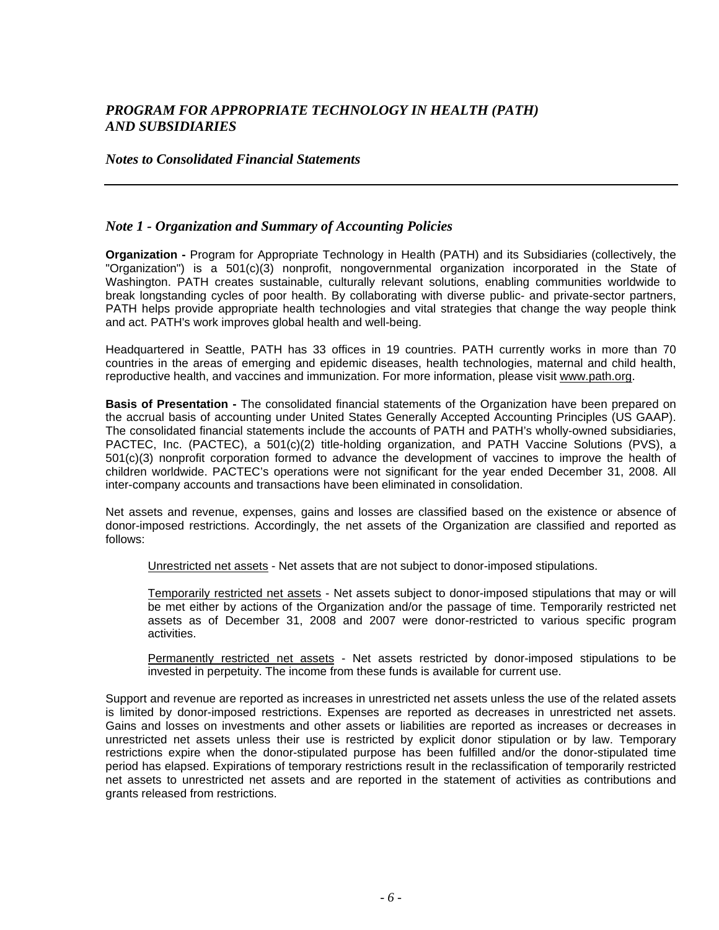### *Notes to Consolidated Financial Statements*

### *Note 1 - Organization and Summary of Accounting Policies*

**Organization -** Program for Appropriate Technology in Health (PATH) and its Subsidiaries (collectively, the "Organization") is a 501(c)(3) nonprofit, nongovernmental organization incorporated in the State of Washington. PATH creates sustainable, culturally relevant solutions, enabling communities worldwide to break longstanding cycles of poor health. By collaborating with diverse public- and private-sector partners, PATH helps provide appropriate health technologies and vital strategies that change the way people think and act. PATH's work improves global health and well-being.

Headquartered in Seattle, PATH has 33 offices in 19 countries. PATH currently works in more than 70 countries in the areas of emerging and epidemic diseases, health technologies, maternal and child health, reproductive health, and vaccines and immunization. For more information, please visit www.path.org.

**Basis of Presentation -** The consolidated financial statements of the Organization have been prepared on the accrual basis of accounting under United States Generally Accepted Accounting Principles (US GAAP). The consolidated financial statements include the accounts of PATH and PATH's wholly-owned subsidiaries, PACTEC, Inc. (PACTEC), a 501(c)(2) title-holding organization, and PATH Vaccine Solutions (PVS), a 501(c)(3) nonprofit corporation formed to advance the development of vaccines to improve the health of children worldwide. PACTEC's operations were not significant for the year ended December 31, 2008. All inter-company accounts and transactions have been eliminated in consolidation.

Net assets and revenue, expenses, gains and losses are classified based on the existence or absence of donor-imposed restrictions. Accordingly, the net assets of the Organization are classified and reported as follows:

Unrestricted net assets - Net assets that are not subject to donor-imposed stipulations.

Temporarily restricted net assets - Net assets subject to donor-imposed stipulations that may or will be met either by actions of the Organization and/or the passage of time. Temporarily restricted net assets as of December 31, 2008 and 2007 were donor-restricted to various specific program activities.

Permanently restricted net assets - Net assets restricted by donor-imposed stipulations to be invested in perpetuity. The income from these funds is available for current use.

Support and revenue are reported as increases in unrestricted net assets unless the use of the related assets is limited by donor-imposed restrictions. Expenses are reported as decreases in unrestricted net assets. Gains and losses on investments and other assets or liabilities are reported as increases or decreases in unrestricted net assets unless their use is restricted by explicit donor stipulation or by law. Temporary restrictions expire when the donor-stipulated purpose has been fulfilled and/or the donor-stipulated time period has elapsed. Expirations of temporary restrictions result in the reclassification of temporarily restricted net assets to unrestricted net assets and are reported in the statement of activities as contributions and grants released from restrictions.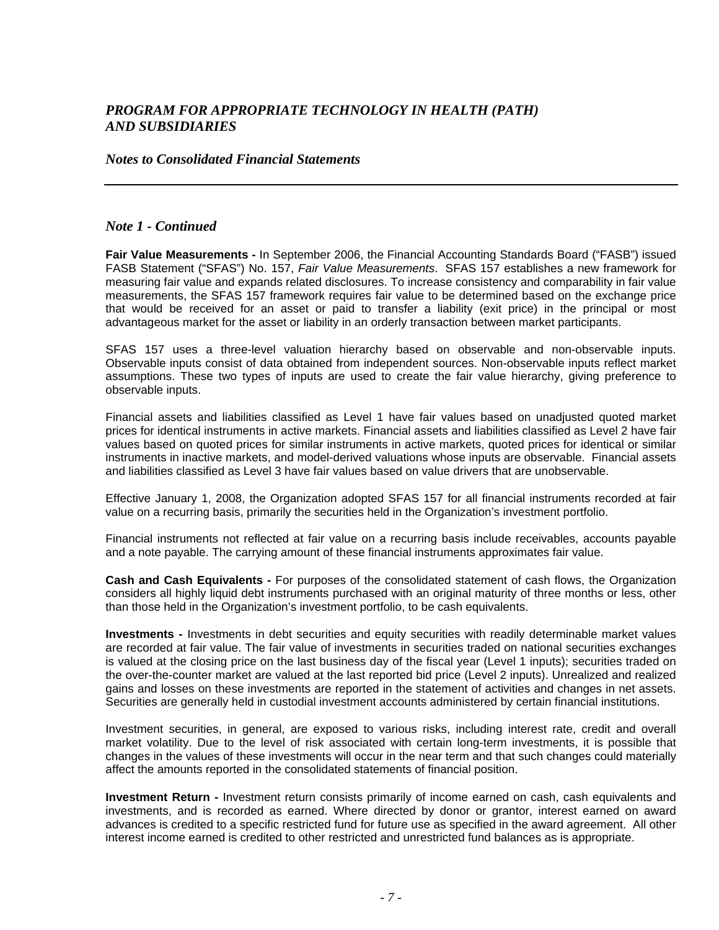#### *Notes to Consolidated Financial Statements*

### *Note 1 - Continued*

**Fair Value Measurements -** In September 2006, the Financial Accounting Standards Board ("FASB") issued FASB Statement ("SFAS") No. 157, *Fair Value Measurements*. SFAS 157 establishes a new framework for measuring fair value and expands related disclosures. To increase consistency and comparability in fair value measurements, the SFAS 157 framework requires fair value to be determined based on the exchange price that would be received for an asset or paid to transfer a liability (exit price) in the principal or most advantageous market for the asset or liability in an orderly transaction between market participants.

SFAS 157 uses a three-level valuation hierarchy based on observable and non-observable inputs. Observable inputs consist of data obtained from independent sources. Non-observable inputs reflect market assumptions. These two types of inputs are used to create the fair value hierarchy, giving preference to observable inputs.

Financial assets and liabilities classified as Level 1 have fair values based on unadjusted quoted market prices for identical instruments in active markets. Financial assets and liabilities classified as Level 2 have fair values based on quoted prices for similar instruments in active markets, quoted prices for identical or similar instruments in inactive markets, and model-derived valuations whose inputs are observable. Financial assets and liabilities classified as Level 3 have fair values based on value drivers that are unobservable.

Effective January 1, 2008, the Organization adopted SFAS 157 for all financial instruments recorded at fair value on a recurring basis, primarily the securities held in the Organization's investment portfolio.

Financial instruments not reflected at fair value on a recurring basis include receivables, accounts payable and a note payable. The carrying amount of these financial instruments approximates fair value.

**Cash and Cash Equivalents -** For purposes of the consolidated statement of cash flows, the Organization considers all highly liquid debt instruments purchased with an original maturity of three months or less, other than those held in the Organization's investment portfolio, to be cash equivalents.

**Investments -** Investments in debt securities and equity securities with readily determinable market values are recorded at fair value. The fair value of investments in securities traded on national securities exchanges is valued at the closing price on the last business day of the fiscal year (Level 1 inputs); securities traded on the over-the-counter market are valued at the last reported bid price (Level 2 inputs). Unrealized and realized gains and losses on these investments are reported in the statement of activities and changes in net assets. Securities are generally held in custodial investment accounts administered by certain financial institutions.

Investment securities, in general, are exposed to various risks, including interest rate, credit and overall market volatility. Due to the level of risk associated with certain long-term investments, it is possible that changes in the values of these investments will occur in the near term and that such changes could materially affect the amounts reported in the consolidated statements of financial position.

**Investment Return -** Investment return consists primarily of income earned on cash, cash equivalents and investments, and is recorded as earned. Where directed by donor or grantor, interest earned on award advances is credited to a specific restricted fund for future use as specified in the award agreement. All other interest income earned is credited to other restricted and unrestricted fund balances as is appropriate.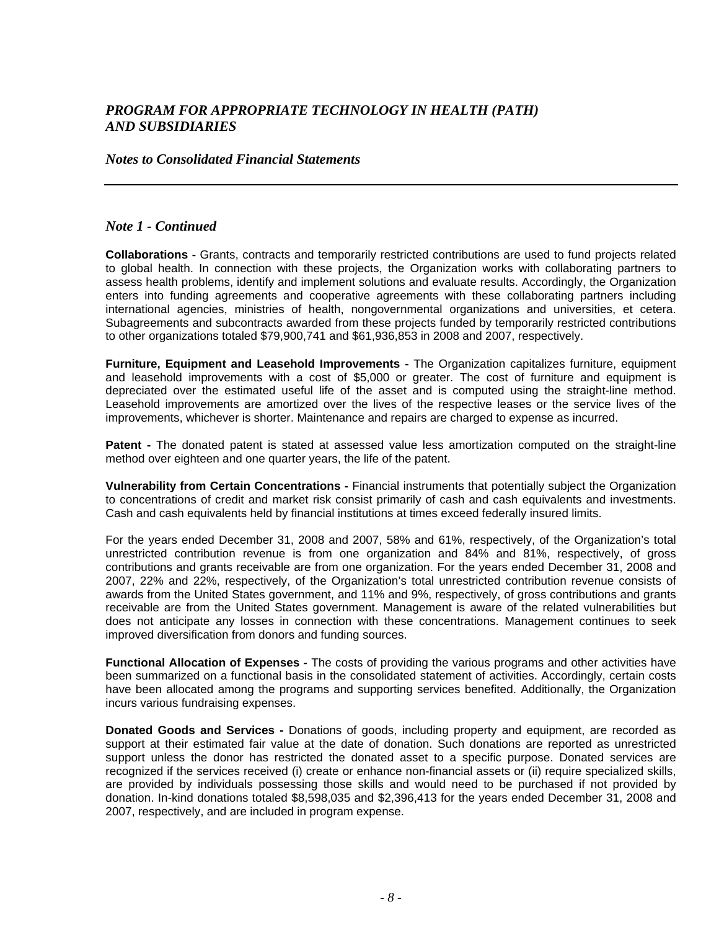#### *Notes to Consolidated Financial Statements*

### *Note 1 - Continued*

**Collaborations -** Grants, contracts and temporarily restricted contributions are used to fund projects related to global health. In connection with these projects, the Organization works with collaborating partners to assess health problems, identify and implement solutions and evaluate results. Accordingly, the Organization enters into funding agreements and cooperative agreements with these collaborating partners including international agencies, ministries of health, nongovernmental organizations and universities, et cetera. Subagreements and subcontracts awarded from these projects funded by temporarily restricted contributions to other organizations totaled \$79,900,741 and \$61,936,853 in 2008 and 2007, respectively.

**Furniture, Equipment and Leasehold Improvements -** The Organization capitalizes furniture, equipment and leasehold improvements with a cost of \$5,000 or greater. The cost of furniture and equipment is depreciated over the estimated useful life of the asset and is computed using the straight-line method. Leasehold improvements are amortized over the lives of the respective leases or the service lives of the improvements, whichever is shorter. Maintenance and repairs are charged to expense as incurred.

**Patent -** The donated patent is stated at assessed value less amortization computed on the straight-line method over eighteen and one quarter years, the life of the patent.

**Vulnerability from Certain Concentrations -** Financial instruments that potentially subject the Organization to concentrations of credit and market risk consist primarily of cash and cash equivalents and investments. Cash and cash equivalents held by financial institutions at times exceed federally insured limits.

For the years ended December 31, 2008 and 2007, 58% and 61%, respectively, of the Organization's total unrestricted contribution revenue is from one organization and 84% and 81%, respectively, of gross contributions and grants receivable are from one organization. For the years ended December 31, 2008 and 2007, 22% and 22%, respectively, of the Organization's total unrestricted contribution revenue consists of awards from the United States government, and 11% and 9%, respectively, of gross contributions and grants receivable are from the United States government. Management is aware of the related vulnerabilities but does not anticipate any losses in connection with these concentrations. Management continues to seek improved diversification from donors and funding sources.

**Functional Allocation of Expenses -** The costs of providing the various programs and other activities have been summarized on a functional basis in the consolidated statement of activities. Accordingly, certain costs have been allocated among the programs and supporting services benefited. Additionally, the Organization incurs various fundraising expenses.

**Donated Goods and Services -** Donations of goods, including property and equipment, are recorded as support at their estimated fair value at the date of donation. Such donations are reported as unrestricted support unless the donor has restricted the donated asset to a specific purpose. Donated services are recognized if the services received (i) create or enhance non-financial assets or (ii) require specialized skills, are provided by individuals possessing those skills and would need to be purchased if not provided by donation. In-kind donations totaled \$8,598,035 and \$2,396,413 for the years ended December 31, 2008 and 2007, respectively, and are included in program expense.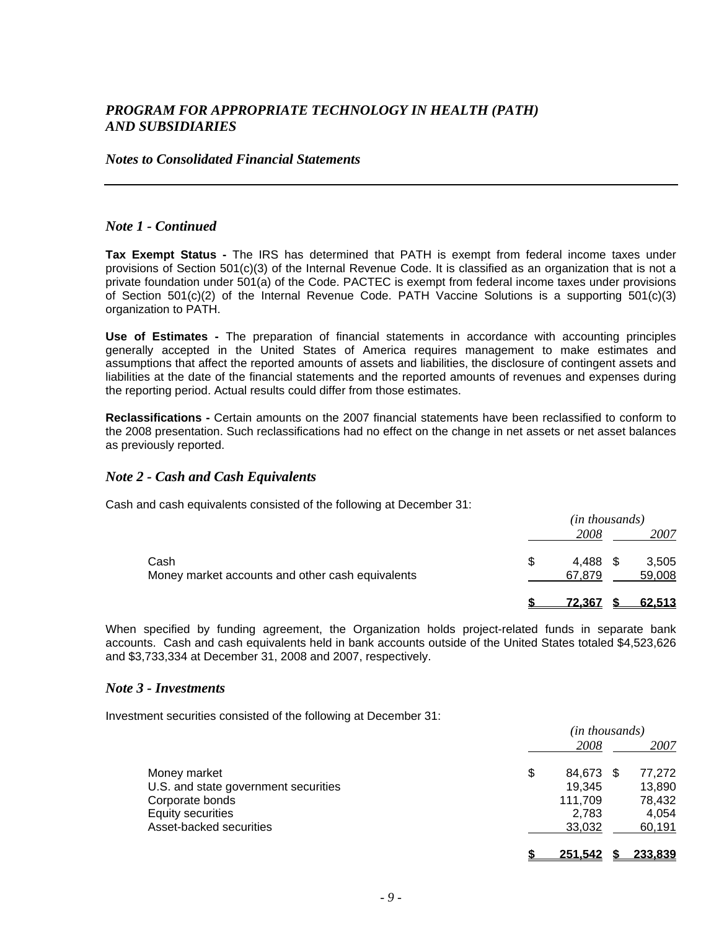#### *Notes to Consolidated Financial Statements*

#### *Note 1 - Continued*

**Tax Exempt Status -** The IRS has determined that PATH is exempt from federal income taxes under provisions of Section 501(c)(3) of the Internal Revenue Code. It is classified as an organization that is not a private foundation under 501(a) of the Code. PACTEC is exempt from federal income taxes under provisions of Section 501(c)(2) of the Internal Revenue Code. PATH Vaccine Solutions is a supporting 501(c)(3) organization to PATH.

**Use of Estimates -** The preparation of financial statements in accordance with accounting principles generally accepted in the United States of America requires management to make estimates and assumptions that affect the reported amounts of assets and liabilities, the disclosure of contingent assets and liabilities at the date of the financial statements and the reported amounts of revenues and expenses during the reporting period. Actual results could differ from those estimates.

**Reclassifications -** Certain amounts on the 2007 financial statements have been reclassified to conform to the 2008 presentation. Such reclassifications had no effect on the change in net assets or net asset balances as previously reported.

### *Note 2 - Cash and Cash Equivalents*

Cash and cash equivalents consisted of the following at December 31:

|                                                  | ( <i>in thousands</i> ) |  |        |
|--------------------------------------------------|-------------------------|--|--------|
|                                                  | 2008                    |  | 2007   |
| Cash                                             | 4.488                   |  | 3,505  |
| Money market accounts and other cash equivalents | 67.879                  |  | 59,008 |
|                                                  | 72.367                  |  | 62.513 |

When specified by funding agreement, the Organization holds project-related funds in separate bank accounts. Cash and cash equivalents held in bank accounts outside of the United States totaled \$4,523,626 and \$3,733,334 at December 31, 2008 and 2007, respectively.

#### *Note 3 - Investments*

Investment securities consisted of the following at December 31:

|                                      | (in thousands) |     |                |  |
|--------------------------------------|----------------|-----|----------------|--|
|                                      | 2008           |     | 2007           |  |
| Money market                         | \$<br>84,673   | \$. | 77,272         |  |
| U.S. and state government securities | 19,345         |     | 13,890         |  |
| Corporate bonds                      | 111,709        |     | 78,432         |  |
| <b>Equity securities</b>             | 2.783          |     | 4,054          |  |
| Asset-backed securities              | 33,032         |     | 60,191         |  |
|                                      | <u>251.542</u> |     | <u>233.839</u> |  |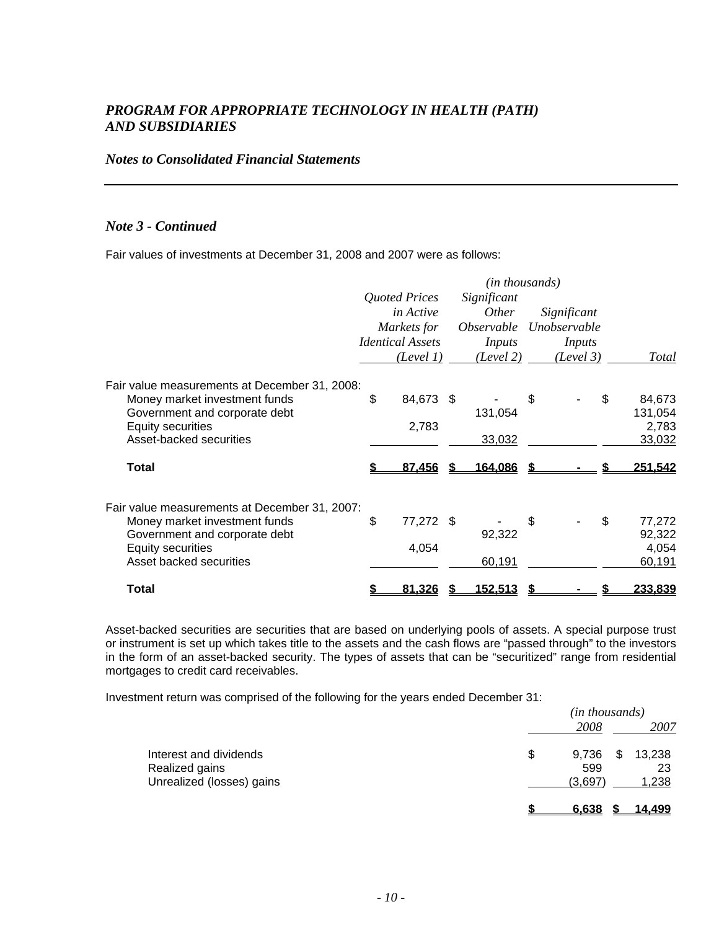### *Notes to Consolidated Financial Statements*

### *Note 3 - Continued*

Fair values of investments at December 31, 2008 and 2007 were as follows:

|                                               |               |                         |  | (in thousands)           |              |              |
|-----------------------------------------------|---------------|-------------------------|--|--------------------------|--------------|--------------|
|                                               | Quoted Prices |                         |  | Significant              |              |              |
|                                               |               | <i>in Active</i>        |  | <i>Other</i>             | Significant  |              |
|                                               |               | Markets for             |  | <i><b>Observable</b></i> | Unobservable |              |
|                                               |               | <b>Identical Assets</b> |  | Inputs                   | Inputs       |              |
|                                               |               | (Level 1)               |  | (Level 2)                | (Level 3)    | Total        |
| Fair value measurements at December 31, 2008: |               |                         |  |                          |              |              |
| Money market investment funds                 | \$            | 84,673 \$               |  |                          | \$           | \$<br>84,673 |
| Government and corporate debt                 |               |                         |  | 131,054                  |              | 131,054      |
| <b>Equity securities</b>                      |               | 2,783                   |  |                          |              | 2,783        |
| Asset-backed securities                       |               |                         |  | 33,032                   |              | 33,032       |
| <b>Total</b>                                  |               | 87,456                  |  | <u>164,086</u>           |              | 251,542      |
| Fair value measurements at December 31, 2007: |               |                         |  |                          |              |              |
| Money market investment funds                 | \$            | 77,272 \$               |  |                          | \$           | \$<br>77,272 |
| Government and corporate debt                 |               |                         |  | 92,322                   |              | 92,322       |
| <b>Equity securities</b>                      |               | 4,054                   |  |                          |              | 4,054        |
| Asset backed securities                       |               |                         |  | 60,191                   |              | 60,191       |
| Total                                         |               | 81,326                  |  | 152,513                  |              | 233,839      |

Asset-backed securities are securities that are based on underlying pools of assets. A special purpose trust or instrument is set up which takes title to the assets and the cash flows are "passed through" to the investors in the form of an asset-backed security. The types of assets that can be "securitized" range from residential mortgages to credit card receivables.

Investment return was comprised of the following for the years ended December 31:

|                           |             | ( <i>in thousands</i> ) |        |  |  |
|---------------------------|-------------|-------------------------|--------|--|--|
|                           | 2008        |                         | 2007   |  |  |
| Interest and dividends    | 9,736<br>\$ | \$                      | 13,238 |  |  |
| Realized gains            | 599         |                         | 23     |  |  |
| Unrealized (losses) gains | (3,697)     |                         | 1,238  |  |  |
|                           | 6.638       |                         | 14.499 |  |  |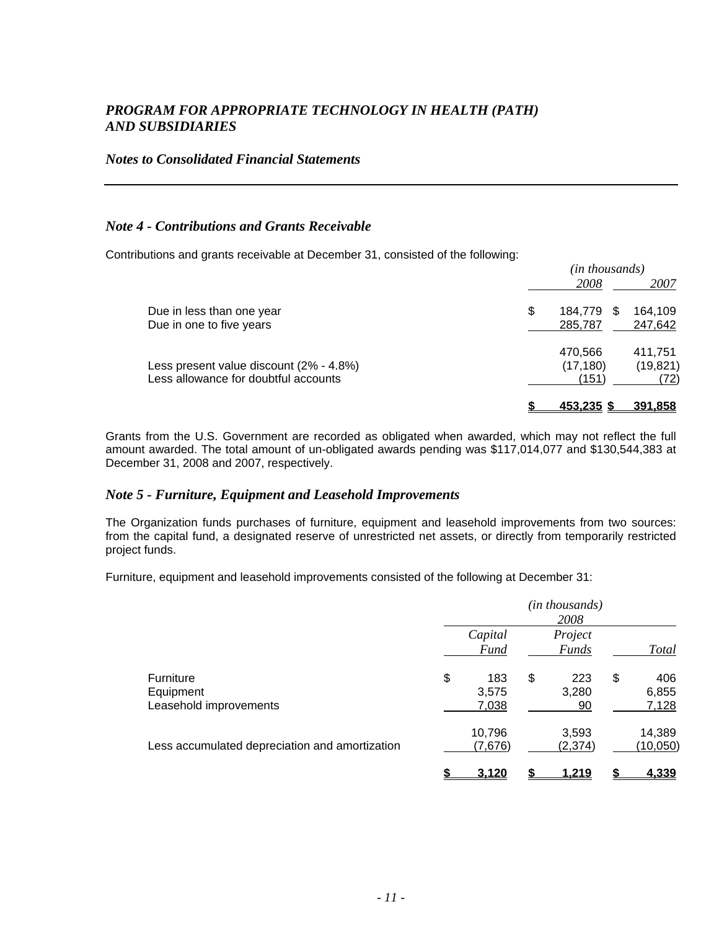### *Notes to Consolidated Financial Statements*

### *Note 4 - Contributions and Grants Receivable*

Contributions and grants receivable at December 31, consisted of the following:

| (in thousands)                 |  |  |  |  |
|--------------------------------|--|--|--|--|
| 2008<br>2007                   |  |  |  |  |
| 164,109<br>\$<br>184,779<br>\$ |  |  |  |  |
| 285,787<br>247,642             |  |  |  |  |
| 411,751<br>470,566             |  |  |  |  |
| (17, 180)<br>(19, 821)         |  |  |  |  |
| (151)<br>(72)                  |  |  |  |  |
| 453.235 S<br>391.858           |  |  |  |  |
|                                |  |  |  |  |

Grants from the U.S. Government are recorded as obligated when awarded, which may not reflect the full amount awarded. The total amount of un-obligated awards pending was \$117,014,077 and \$130,544,383 at December 31, 2008 and 2007, respectively.

### *Note 5 - Furniture, Equipment and Leasehold Improvements*

The Organization funds purchases of furniture, equipment and leasehold improvements from two sources: from the capital fund, a designated reserve of unrestricted net assets, or directly from temporarily restricted project funds.

Furniture, equipment and leasehold improvements consisted of the following at December 31:

|                                                         |                             | ( <i>in thousands</i> )<br>2008 |                             |
|---------------------------------------------------------|-----------------------------|---------------------------------|-----------------------------|
|                                                         | Capital<br><b>Fund</b>      | Project<br><b>Funds</b>         | <b>Total</b>                |
| <b>Furniture</b><br>Equipment<br>Leasehold improvements | \$<br>183<br>3,575<br>7,038 | \$<br>223<br>3,280<br>90        | \$<br>406<br>6,855<br>7,128 |
| Less accumulated depreciation and amortization          | 10,796<br>(7,676)           | 3,593<br>(2, 374)               | 14,389<br>(10,050)          |
|                                                         | 3.120                       | 1.219                           | 4.339                       |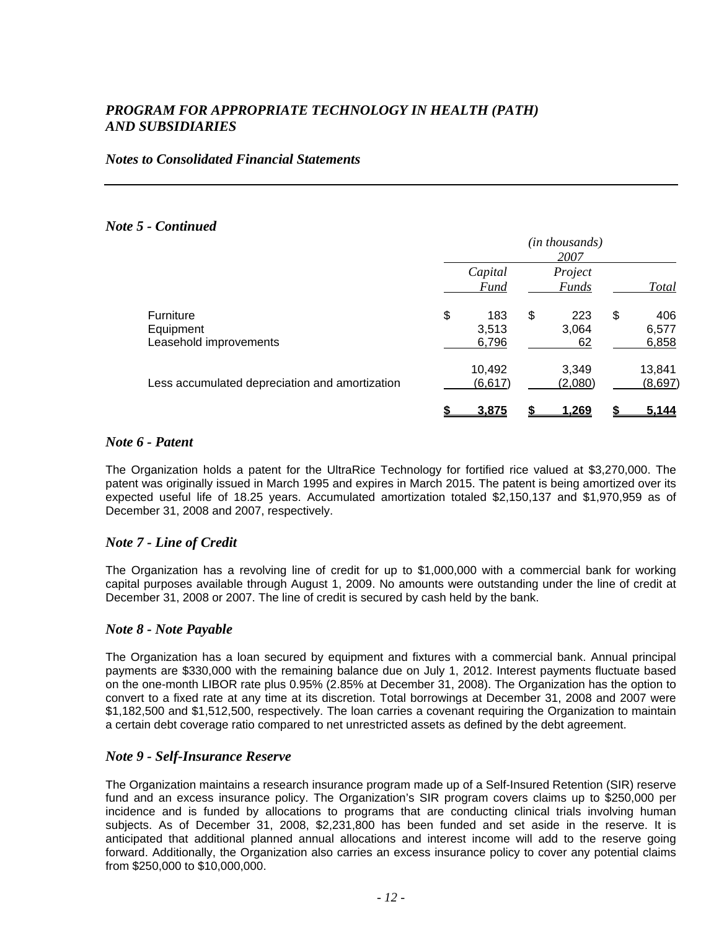### *Notes to Consolidated Financial Statements*

### *Note 5 - Continued*

|                                                  | (in thousands)<br>2007 |                        |    |                         |    |                       |
|--------------------------------------------------|------------------------|------------------------|----|-------------------------|----|-----------------------|
|                                                  |                        | Capital<br><b>Fund</b> |    | Project<br><b>Funds</b> |    | <b>Total</b>          |
| Furniture<br>Equipment<br>Leasehold improvements | \$                     | 183<br>3,513<br>6,796  | \$ | 223<br>3,064<br>62      | \$ | 406<br>6,577<br>6,858 |
| Less accumulated depreciation and amortization   |                        | 10,492<br>(6, 617)     |    | 3,349<br>(2,080)        |    | 13,841<br>(8,697)     |
|                                                  |                        | 3,875                  |    | <u>1.269</u>            |    | <u>5.144</u>          |

### *Note 6 - Patent*

The Organization holds a patent for the UltraRice Technology for fortified rice valued at \$3,270,000. The patent was originally issued in March 1995 and expires in March 2015. The patent is being amortized over its expected useful life of 18.25 years. Accumulated amortization totaled \$2,150,137 and \$1,970,959 as of December 31, 2008 and 2007, respectively.

### *Note 7 - Line of Credit*

The Organization has a revolving line of credit for up to \$1,000,000 with a commercial bank for working capital purposes available through August 1, 2009. No amounts were outstanding under the line of credit at December 31, 2008 or 2007. The line of credit is secured by cash held by the bank.

### *Note 8 - Note Payable*

The Organization has a loan secured by equipment and fixtures with a commercial bank. Annual principal payments are \$330,000 with the remaining balance due on July 1, 2012. Interest payments fluctuate based on the one-month LIBOR rate plus 0.95% (2.85% at December 31, 2008). The Organization has the option to convert to a fixed rate at any time at its discretion. Total borrowings at December 31, 2008 and 2007 were \$1,182,500 and \$1,512,500, respectively. The loan carries a covenant requiring the Organization to maintain a certain debt coverage ratio compared to net unrestricted assets as defined by the debt agreement.

### *Note 9 - Self-Insurance Reserve*

The Organization maintains a research insurance program made up of a Self-Insured Retention (SIR) reserve fund and an excess insurance policy. The Organization's SIR program covers claims up to \$250,000 per incidence and is funded by allocations to programs that are conducting clinical trials involving human subjects. As of December 31, 2008, \$2,231,800 has been funded and set aside in the reserve. It is anticipated that additional planned annual allocations and interest income will add to the reserve going forward. Additionally, the Organization also carries an excess insurance policy to cover any potential claims from \$250,000 to \$10,000,000.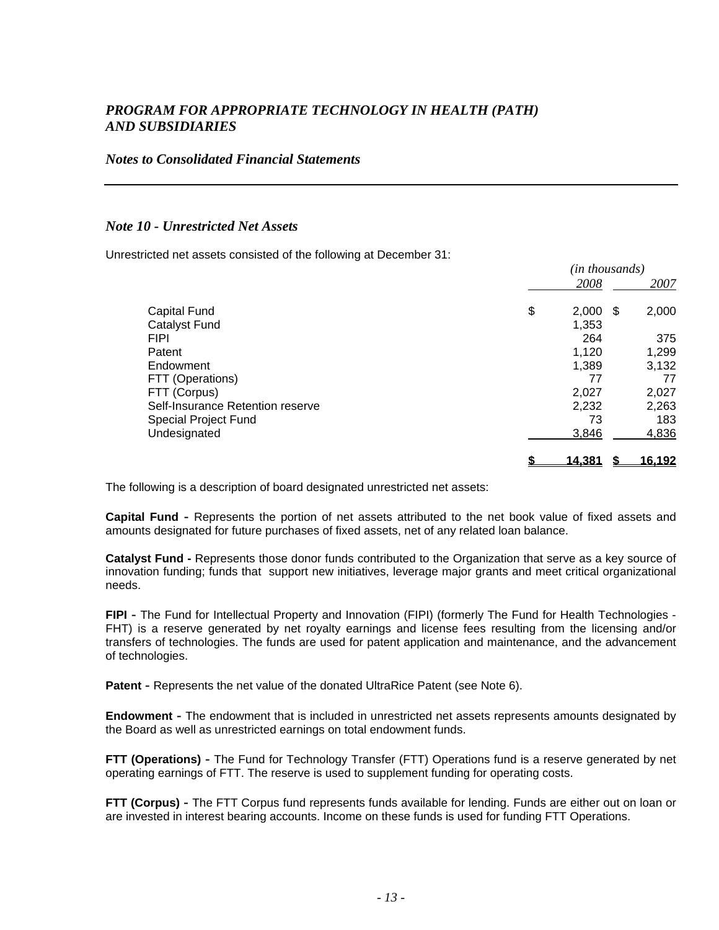### *Notes to Consolidated Financial Statements*

### *Note 10 - Unrestricted Net Assets*

Unrestricted net assets consisted of the following at December 31:

|                                  | (ın thousands) |                        |  |
|----------------------------------|----------------|------------------------|--|
|                                  |                | 2008<br>2007           |  |
| <b>Capital Fund</b>              | \$             | 2,000<br>2,000<br>- \$ |  |
| Catalyst Fund                    |                | 1,353                  |  |
| <b>FIPI</b>                      |                | 375<br>264             |  |
| Patent                           |                | 1,299<br>1,120         |  |
| Endowment                        |                | 1,389<br>3,132         |  |
| FTT (Operations)                 |                | 77<br>77               |  |
| FTT (Corpus)                     |                | 2,027<br>2,027         |  |
| Self-Insurance Retention reserve |                | 2,263<br>2,232         |  |
| Special Project Fund             |                | 73<br>183              |  |
| Undesignated                     |                | 4,836<br>3,846         |  |
|                                  | <u>14,381</u>  | 16,192                 |  |

*(in thousands)*

The following is a description of board designated unrestricted net assets:

**Capital Fund -** Represents the portion of net assets attributed to the net book value of fixed assets and amounts designated for future purchases of fixed assets, net of any related loan balance.

**Catalyst Fund -** Represents those donor funds contributed to the Organization that serve as a key source of innovation funding; funds that support new initiatives, leverage major grants and meet critical organizational needs.

**FIPI -** The Fund for Intellectual Property and Innovation (FIPI) (formerly The Fund for Health Technologies - FHT) is a reserve generated by net royalty earnings and license fees resulting from the licensing and/or transfers of technologies. The funds are used for patent application and maintenance, and the advancement of technologies.

**Patent** - Represents the net value of the donated UltraRice Patent (see Note 6).

**Endowment -** The endowment that is included in unrestricted net assets represents amounts designated by the Board as well as unrestricted earnings on total endowment funds.

**FTT (Operations) -** The Fund for Technology Transfer (FTT) Operations fund is a reserve generated by net operating earnings of FTT. The reserve is used to supplement funding for operating costs.

**FTT (Corpus) -** The FTT Corpus fund represents funds available for lending. Funds are either out on loan or are invested in interest bearing accounts. Income on these funds is used for funding FTT Operations.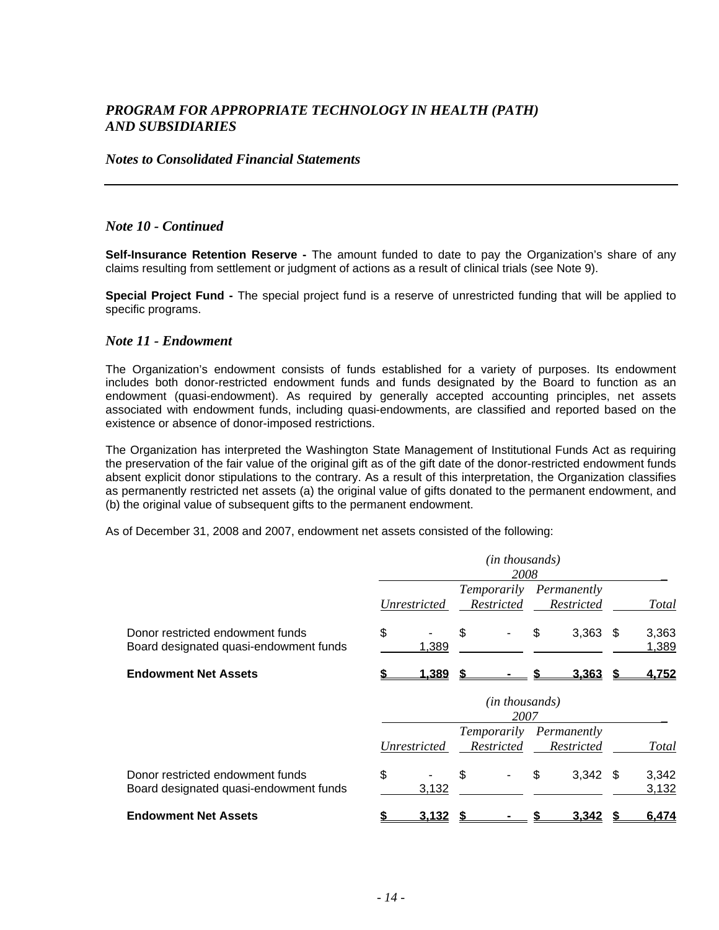#### *Notes to Consolidated Financial Statements*

### *Note 10 - Continued*

**Self-Insurance Retention Reserve -** The amount funded to date to pay the Organization's share of any claims resulting from settlement or judgment of actions as a result of clinical trials (see Note 9).

**Special Project Fund -** The special project fund is a reserve of unrestricted funding that will be applied to specific programs.

#### *Note 11 - Endowment*

The Organization's endowment consists of funds established for a variety of purposes. Its endowment includes both donor-restricted endowment funds and funds designated by the Board to function as an endowment (quasi-endowment). As required by generally accepted accounting principles, net assets associated with endowment funds, including quasi-endowments, are classified and reported based on the existence or absence of donor-imposed restrictions.

The Organization has interpreted the Washington State Management of Institutional Funds Act as requiring the preservation of the fair value of the original gift as of the gift date of the donor-restricted endowment funds absent explicit donor stipulations to the contrary. As a result of this interpretation, the Organization classifies as permanently restricted net assets (a) the original value of gifts donated to the permanent endowment, and (b) the original value of subsequent gifts to the permanent endowment.

As of December 31, 2008 and 2007, endowment net assets consisted of the following:

|                                                                            |              | (in thousands)<br>2008          |                                       |      |                |
|----------------------------------------------------------------------------|--------------|---------------------------------|---------------------------------------|------|----------------|
|                                                                            | Unrestricted | Restricted                      | Temporarily Permanently<br>Restricted |      | Total          |
| Donor restricted endowment funds<br>Board designated quasi-endowment funds | \$<br>1,389  | \$                              | \$<br>3,363                           | - \$ | 3,363<br>1,389 |
| <b>Endowment Net Assets</b>                                                | <u>1,389</u> |                                 | <u>3.363</u>                          |      | 4.752          |
|                                                                            |              | ( <i>in thousands</i> )<br>2007 |                                       |      |                |
|                                                                            | Unrestricted | Temporarily<br>Restricted       | Permanently<br>Restricted             |      | Total          |
| Donor restricted endowment funds<br>Board designated quasi-endowment funds | \$<br>3,132  | \$                              | \$<br>$3,342$ \$                      |      | 3,342<br>3,132 |
| <b>Endowment Net Assets</b>                                                | 3.132        |                                 | <u>3.342</u>                          |      | 6.474          |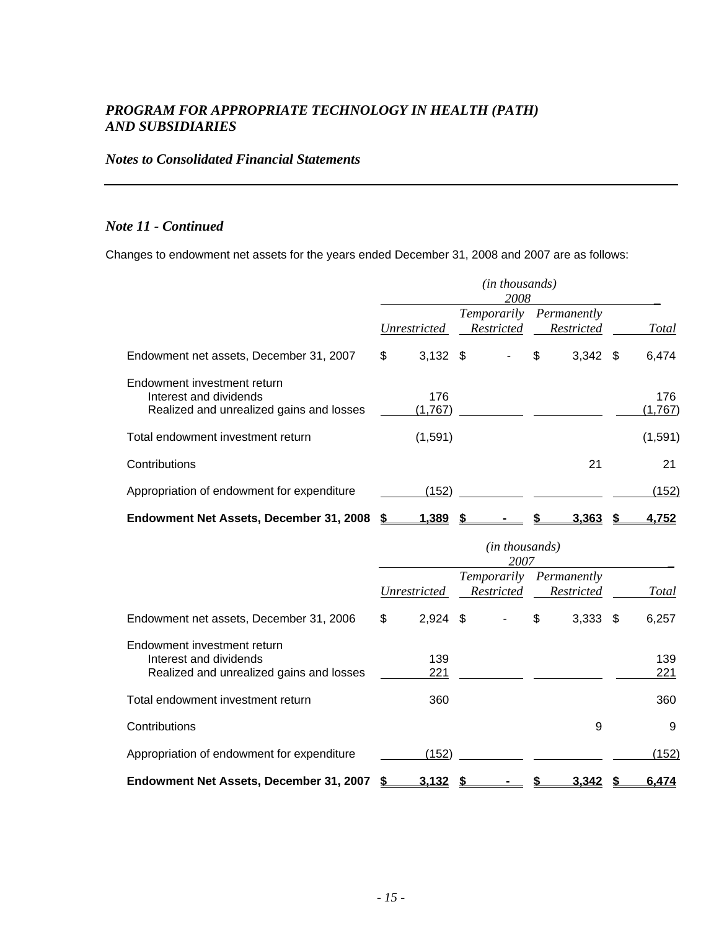### *Notes to Consolidated Financial Statements*

### *Note 11 - Continued*

Changes to endowment net assets for the years ended December 31, 2008 and 2007 are as follows:

|                                                                                                   |                  | ( <i>in thousands</i> )<br>2008 |                           |                |
|---------------------------------------------------------------------------------------------------|------------------|---------------------------------|---------------------------|----------------|
|                                                                                                   | Unrestricted     | Temporarily<br>Restricted       | Permanently<br>Restricted | Total          |
| Endowment net assets, December 31, 2007                                                           | \$<br>$3,132$ \$ |                                 | \$<br>$3,342$ \$          | 6,474          |
| Endowment investment return<br>Interest and dividends<br>Realized and unrealized gains and losses | 176<br>(1,767)   |                                 |                           | 176<br>(1,767) |
| Total endowment investment return                                                                 | (1,591)          |                                 |                           | (1,591)        |
| Contributions                                                                                     |                  |                                 | 21                        | 21             |
| Appropriation of endowment for expenditure                                                        | (152)            |                                 |                           | (152)          |
| Endowment Net Assets, December 31, 2008                                                           | <u>1.389</u>     |                                 | <u>3.363</u>              | <u>4.752</u>   |

|                                                                                                   |                  | ( <i>in thousands</i> )<br>2007 |                                       |            |
|---------------------------------------------------------------------------------------------------|------------------|---------------------------------|---------------------------------------|------------|
|                                                                                                   | Unrestricted     | Restricted                      | Temporarily Permanently<br>Restricted | Total      |
| Endowment net assets, December 31, 2006                                                           | \$<br>$2,924$ \$ |                                 | \$<br>$3,333$ \$                      | 6,257      |
| Endowment investment return<br>Interest and dividends<br>Realized and unrealized gains and losses | 139<br>221       |                                 |                                       | 139<br>221 |
| Total endowment investment return                                                                 | 360              |                                 |                                       | 360        |
| Contributions                                                                                     |                  |                                 | 9                                     | 9          |
| Appropriation of endowment for expenditure                                                        | (152)            |                                 |                                       | (152)      |
| Endowment Net Assets, December 31, 2007                                                           | <u>3.132</u>     |                                 | 3.342                                 | 6.474      |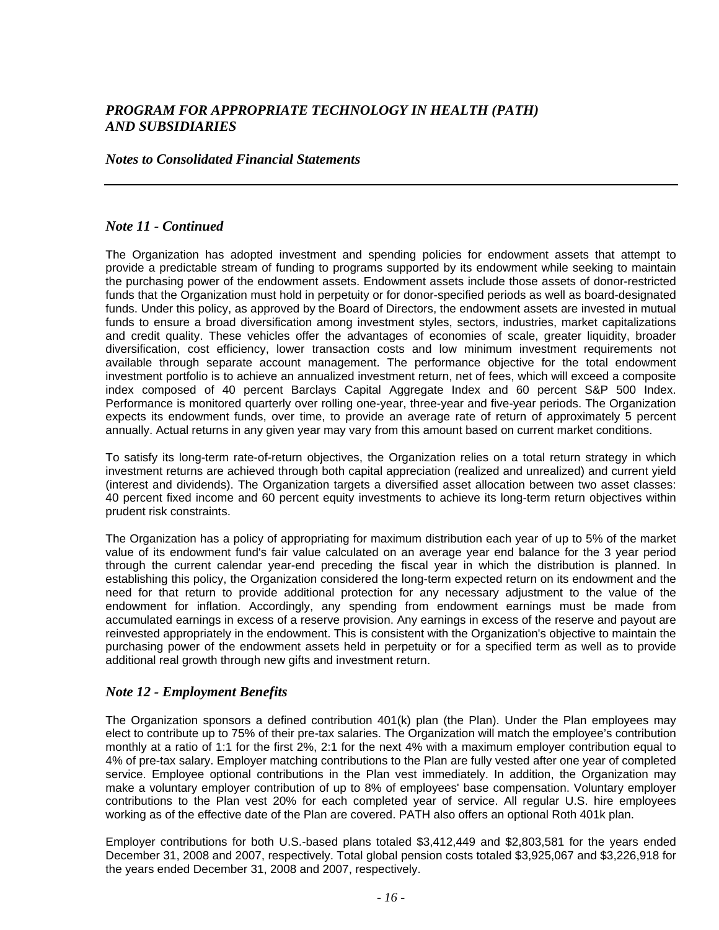### *Notes to Consolidated Financial Statements*

### *Note 11 - Continued*

The Organization has adopted investment and spending policies for endowment assets that attempt to provide a predictable stream of funding to programs supported by its endowment while seeking to maintain the purchasing power of the endowment assets. Endowment assets include those assets of donor-restricted funds that the Organization must hold in perpetuity or for donor-specified periods as well as board-designated funds. Under this policy, as approved by the Board of Directors, the endowment assets are invested in mutual funds to ensure a broad diversification among investment styles, sectors, industries, market capitalizations and credit quality. These vehicles offer the advantages of economies of scale, greater liquidity, broader diversification, cost efficiency, lower transaction costs and low minimum investment requirements not available through separate account management. The performance objective for the total endowment investment portfolio is to achieve an annualized investment return, net of fees, which will exceed a composite index composed of 40 percent Barclays Capital Aggregate Index and 60 percent S&P 500 Index. Performance is monitored quarterly over rolling one-year, three-year and five-year periods. The Organization expects its endowment funds, over time, to provide an average rate of return of approximately 5 percent annually. Actual returns in any given year may vary from this amount based on current market conditions.

To satisfy its long-term rate-of-return objectives, the Organization relies on a total return strategy in which investment returns are achieved through both capital appreciation (realized and unrealized) and current yield (interest and dividends). The Organization targets a diversified asset allocation between two asset classes: 40 percent fixed income and 60 percent equity investments to achieve its long-term return objectives within prudent risk constraints.

The Organization has a policy of appropriating for maximum distribution each year of up to 5% of the market value of its endowment fund's fair value calculated on an average year end balance for the 3 year period through the current calendar year-end preceding the fiscal year in which the distribution is planned. In establishing this policy, the Organization considered the long-term expected return on its endowment and the need for that return to provide additional protection for any necessary adjustment to the value of the endowment for inflation. Accordingly, any spending from endowment earnings must be made from accumulated earnings in excess of a reserve provision. Any earnings in excess of the reserve and payout are reinvested appropriately in the endowment. This is consistent with the Organization's objective to maintain the purchasing power of the endowment assets held in perpetuity or for a specified term as well as to provide additional real growth through new gifts and investment return.

### *Note 12 - Employment Benefits*

The Organization sponsors a defined contribution 401(k) plan (the Plan). Under the Plan employees may elect to contribute up to 75% of their pre-tax salaries. The Organization will match the employee's contribution monthly at a ratio of 1:1 for the first 2%, 2:1 for the next 4% with a maximum employer contribution equal to 4% of pre-tax salary. Employer matching contributions to the Plan are fully vested after one year of completed service. Employee optional contributions in the Plan vest immediately. In addition, the Organization may make a voluntary employer contribution of up to 8% of employees' base compensation. Voluntary employer contributions to the Plan vest 20% for each completed year of service. All regular U.S. hire employees working as of the effective date of the Plan are covered. PATH also offers an optional Roth 401k plan.

Employer contributions for both U.S.-based plans totaled \$3,412,449 and \$2,803,581 for the years ended December 31, 2008 and 2007, respectively. Total global pension costs totaled \$3,925,067 and \$3,226,918 for the years ended December 31, 2008 and 2007, respectively.